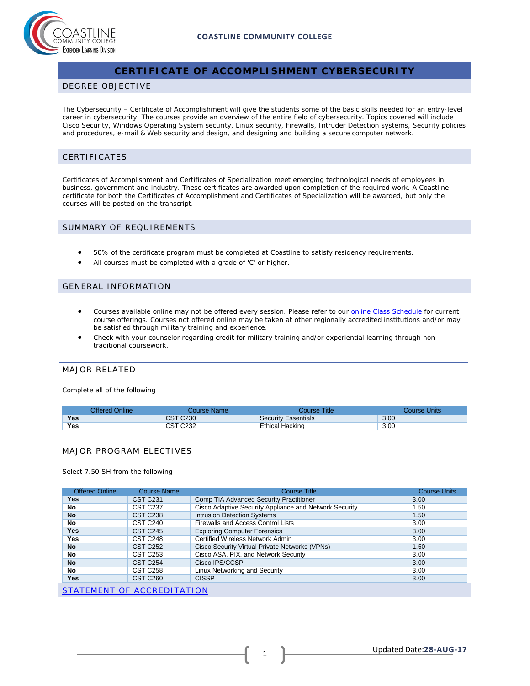

# **CERTIFICATE OF ACCOMPLISHMENT CYBERSECURITY**

### DEGREE OBJECTIVE

The Cybersecurity – Certificate of Accomplishment will give the students some of the basic skills needed for an entry-level career in cybersecurity. The courses provide an overview of the entire field of cybersecurity. Topics covered will include Cisco Security, Windows Operating System security, Linux security, Firewalls, Intruder Detection systems, Security policies and procedures, e-mail & Web security and design, and designing and building a secure computer network.

# CERTIFICATES

Certificates of Accomplishment and Certificates of Specialization meet emerging technological needs of employees in business, government and industry. These certificates are awarded upon completion of the required work. A Coastline certificate for both the Certificates of Accomplishment and Certificates of Specialization will be awarded, but only the courses will be posted on the transcript.

#### SUMMARY OF REQUIREMENTS

- 50% of the certificate program must be completed at Coastline to satisfy residency requirements.
- All courses must be completed with a grade of 'C' or higher.

## GENERAL INFORMATION

- Courses available online may not be offered every session. Please refer to our **[online Class Schedule](http://military.coastline.edu/schedule/page.cfm?LinkID=1706)** for current course offerings. Courses not offered online may be taken at other regionally accredited institutions and/or may be satisfied through military training and experience.
- Check with your counselor regarding credit for military training and/or experiential learning through nontraditional coursework.

## MAJOR RELATED

Complete all of the following

| Offered Online | Course Name:    | Course Title:              | Course Units |
|----------------|-----------------|----------------------------|--------------|
| <b>Yes</b>     | <b>CST C230</b> | <b>Security Essentials</b> | 3.00         |
| Yes            | <b>CST C232</b> | Ethical Hacking            | 3.00         |

## MAJOR PROGRAM ELECTIVES

#### Select 7.50 SH from the following

| <b>Offered Online</b>      | <b>Course Name</b>   | <b>Course Title</b>                                    | <b>Course Units</b> |  |
|----------------------------|----------------------|--------------------------------------------------------|---------------------|--|
| Yes                        | <b>CST C231</b>      | Comp TIA Advanced Security Practitioner                | 3.00                |  |
| No                         | <b>CST C237</b>      | Cisco Adaptive Security Appliance and Network Security | 1.50                |  |
| <b>No</b>                  | <b>CST C238</b>      | <b>Intrusion Detection Systems</b>                     | 1.50                |  |
| No                         | CST C <sub>240</sub> | Firewalls and Access Control Lists                     | 3.00                |  |
| Yes                        | <b>CST C245</b>      | <b>Exploring Computer Forensics</b>                    | 3.00                |  |
| Yes                        | CST C <sub>248</sub> | Certified Wireless Network Admin                       | 3.00                |  |
| <b>No</b>                  | <b>CST C252</b>      | Cisco Security Virtual Private Networks (VPNs)         | 1.50                |  |
| No                         | <b>CST C253</b>      | Cisco ASA, PIX, and Network Security                   | 3.00                |  |
| <b>No</b>                  | <b>CST C254</b>      | Cisco IPS/CCSP                                         | 3.00                |  |
| No                         | <b>CST C258</b>      | Linux Networking and Security                          | 3.00                |  |
| Yes                        | CST C <sub>260</sub> | <b>CISSP</b>                                           | 3.00                |  |
| STATEMENT OF ACCREDITATION |                      |                                                        |                     |  |